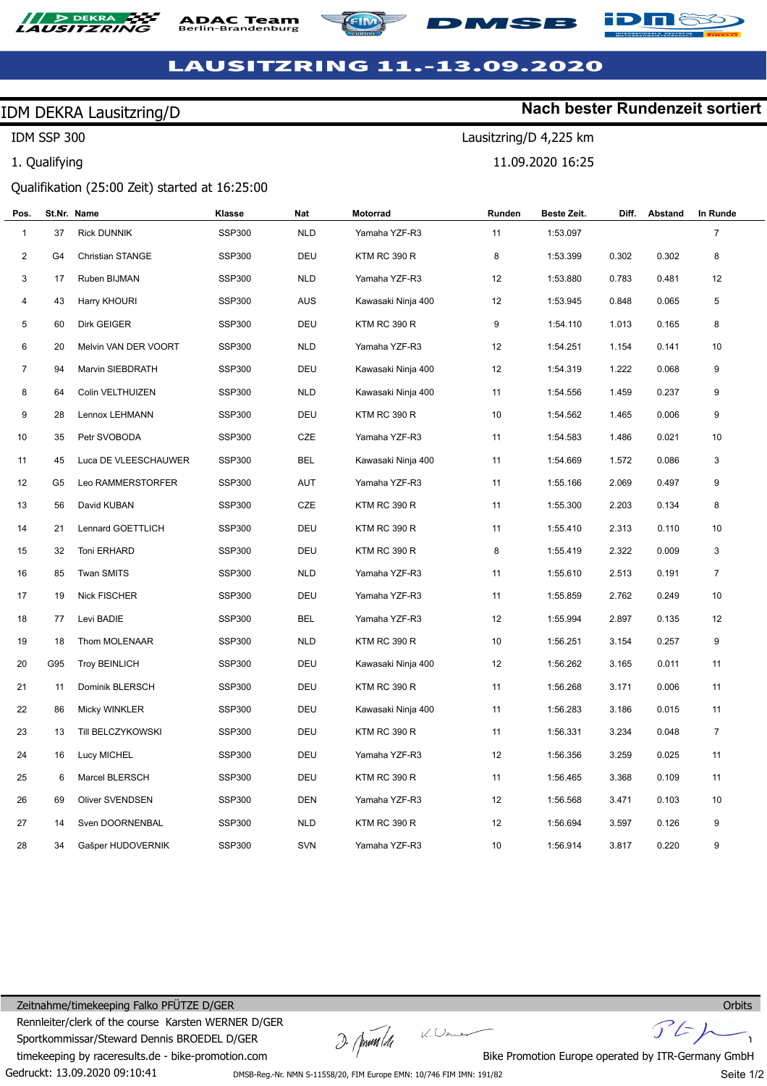# **DAC Team**<br>rlin-Brandenburg





**Nach bester Rundenzeit sortiert**

Lausitzring/D 4,225 km

**DMSB** 

11.09.2020 16:25

## **LAUSITZRING 11.-13.09.2020**

## IDM DEKRA Lausitzring/D

IDM SSP 300

1. Qualifying

#### Qualifikation (25:00 Zeit) started at 16:25:00

| Pos.           | St.Nr. Name |                         | Klasse        | Nat        | Motorrad            | Runden | Beste Zeit. | Diff. | Abstand | In Runde       |  |
|----------------|-------------|-------------------------|---------------|------------|---------------------|--------|-------------|-------|---------|----------------|--|
| $\mathbf{1}$   | 37          | <b>Rick DUNNIK</b>      | SSP300        | <b>NLD</b> | Yamaha YZF-R3       | 11     | 1:53.097    |       |         | $\overline{7}$ |  |
| 2              | G4          | <b>Christian STANGE</b> | <b>SSP300</b> | DEU        | <b>KTM RC 390 R</b> | 8      | 1:53.399    | 0.302 | 0.302   | 8              |  |
| 3              | 17          | Ruben BIJMAN            | <b>SSP300</b> | <b>NLD</b> | Yamaha YZF-R3       | 12     | 1:53.880    | 0.783 | 0.481   | 12             |  |
| 4              | 43          | Harry KHOURI            | <b>SSP300</b> | AUS        | Kawasaki Ninja 400  | 12     | 1:53.945    | 0.848 | 0.065   | 5              |  |
| 5              | 60          | Dirk GEIGER             | <b>SSP300</b> | DEU        | <b>KTM RC 390 R</b> | $9\,$  | 1:54.110    | 1.013 | 0.165   | 8              |  |
| 6              | 20          | Melvin VAN DER VOORT    | <b>SSP300</b> | <b>NLD</b> | Yamaha YZF-R3       | 12     | 1:54.251    | 1.154 | 0.141   | 10             |  |
| $\overline{7}$ | 94          | Marvin SIEBDRATH        | <b>SSP300</b> | DEU        | Kawasaki Ninja 400  | 12     | 1:54.319    | 1.222 | 0.068   | 9              |  |
| 8              | 64          | Colin VELTHUIZEN        | SSP300        | <b>NLD</b> | Kawasaki Ninja 400  | 11     | 1:54.556    | 1.459 | 0.237   | 9              |  |
| 9              | 28          | Lennox LEHMANN          | <b>SSP300</b> | DEU        | KTM RC 390 R        | 10     | 1:54.562    | 1.465 | 0.006   | 9              |  |
| 10             | 35          | Petr SVOBODA            | SSP300        | CZE        | Yamaha YZF-R3       | 11     | 1:54.583    | 1.486 | 0.021   | 10             |  |
| 11             | 45          | Luca DE VLEESCHAUWER    | <b>SSP300</b> | BEL        | Kawasaki Ninja 400  | 11     | 1:54.669    | 1.572 | 0.086   | 3              |  |
| 12             | G5          | Leo RAMMERSTORFER       | <b>SSP300</b> | <b>AUT</b> | Yamaha YZF-R3       | 11     | 1:55.166    | 2.069 | 0.497   | 9              |  |
| 13             | 56          | David KUBAN             | <b>SSP300</b> | CZE        | <b>KTM RC 390 R</b> | 11     | 1:55.300    | 2.203 | 0.134   | 8              |  |
| 14             | 21          | Lennard GOETTLICH       | <b>SSP300</b> | DEU        | <b>KTM RC 390 R</b> | 11     | 1:55.410    | 2.313 | 0.110   | 10             |  |
| 15             | 32          | Toni ERHARD             | <b>SSP300</b> | DEU        | <b>KTM RC 390 R</b> | 8      | 1:55.419    | 2.322 | 0.009   | 3              |  |
| 16             | 85          | <b>Twan SMITS</b>       | <b>SSP300</b> | <b>NLD</b> | Yamaha YZF-R3       | 11     | 1:55.610    | 2.513 | 0.191   | $\overline{7}$ |  |
| 17             | 19          | Nick FISCHER            | SSP300        | DEU        | Yamaha YZF-R3       | 11     | 1:55.859    | 2.762 | 0.249   | 10             |  |
| 18             | 77          | Levi BADIE              | SSP300        | <b>BEL</b> | Yamaha YZF-R3       | 12     | 1:55.994    | 2.897 | 0.135   | 12             |  |
| 19             | 18          | Thom MOLENAAR           | <b>SSP300</b> | <b>NLD</b> | <b>KTM RC 390 R</b> | 10     | 1:56.251    | 3.154 | 0.257   | 9              |  |
| 20             | G95         | <b>Troy BEINLICH</b>    | <b>SSP300</b> | DEU        | Kawasaki Ninja 400  | 12     | 1:56.262    | 3.165 | 0.011   | 11             |  |
| 21             | 11          | Dominik BLERSCH         | SSP300        | DEU        | <b>KTM RC 390 R</b> | 11     | 1:56.268    | 3.171 | 0.006   | 11             |  |
| 22             | 86          | Micky WINKLER           | <b>SSP300</b> | DEU        | Kawasaki Ninja 400  | 11     | 1:56.283    | 3.186 | 0.015   | 11             |  |
| 23             | 13          | Till BELCZYKOWSKI       | <b>SSP300</b> | DEU        | <b>KTM RC 390 R</b> | 11     | 1:56.331    | 3.234 | 0.048   | $\overline{7}$ |  |
| 24             | 16          | Lucy MICHEL             | <b>SSP300</b> | DEU        | Yamaha YZF-R3       | 12     | 1:56.356    | 3.259 | 0.025   | 11             |  |
| 25             | 6           | Marcel BLERSCH          | <b>SSP300</b> | DEU        | <b>KTM RC 390 R</b> | 11     | 1:56.465    | 3.368 | 0.109   | 11             |  |
| 26             | 69          | Oliver SVENDSEN         | <b>SSP300</b> | <b>DEN</b> | Yamaha YZF-R3       | 12     | 1:56.568    | 3.471 | 0.103   | 10             |  |
| 27             | 14          | Sven DOORNENBAL         | <b>SSP300</b> | <b>NLD</b> | <b>KTM RC 390 R</b> | 12     | 1:56.694    | 3.597 | 0.126   | 9              |  |
| 28             | 34          | Gašper HUDOVERNIK       | <b>SSP300</b> | <b>SVN</b> | Yamaha YZF-R3       | 10     | 1:56.914    | 3.817 | 0.220   | 9              |  |

Gedruckt: 13.09.2020 09:10:41 Zeitnahme/timekeeping Falko PFÜTZE D/GER Rennleiter/clerk of the course Karsten WERNER D/GER Sportkommissar/Steward Dennis BROEDEL D/GER timekeeping by raceresults.de - bike-promotion.com

 $D$  (prom / 1

 $\mathcal{U}.\mathcal{Q}$ en

**Orbits**  $F$ 

Bike Promotion Europe operated by ITR-Germany GmbH

Seite 1/2

DMSB-Reg.-Nr. NMN S-11558/20, FIM Europe EMN: 10/746 FIM IMN: 191/82